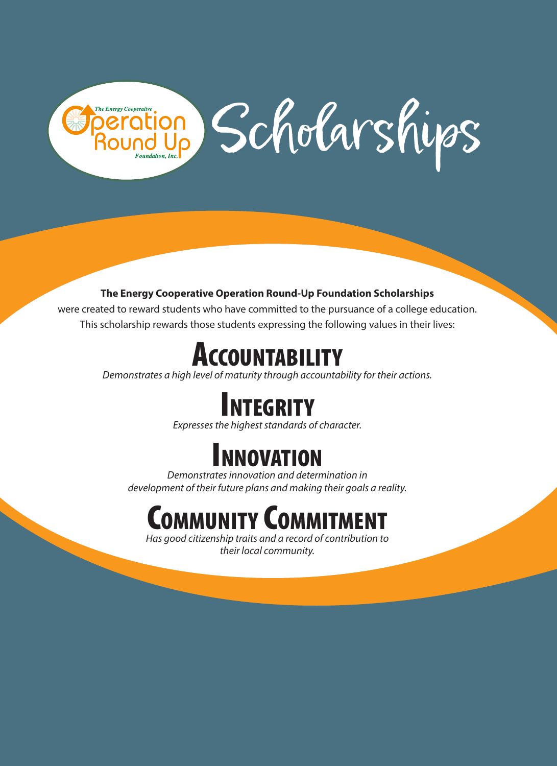# ation Scholarships **The Energy Cooperative**

### The Energy Cooperative Operation Round-Up Foundation Scholarships

were created to reward students who have committed to the pursuance of a college education. This scholarship rewards those students expressing the following values in their lives:

### Accountability

*Demonstrates a high level of maturity through accountability for their actions.*

## Integrity

*Expresses the highest standards of character.*

### NNOVATION

*Demonstrates innovation and determination in development of their future plans and making their goals a reality.*

### **OMMUNITY COMMITMENT**

*Has good citizenship traits and a record of contribution to their local community.*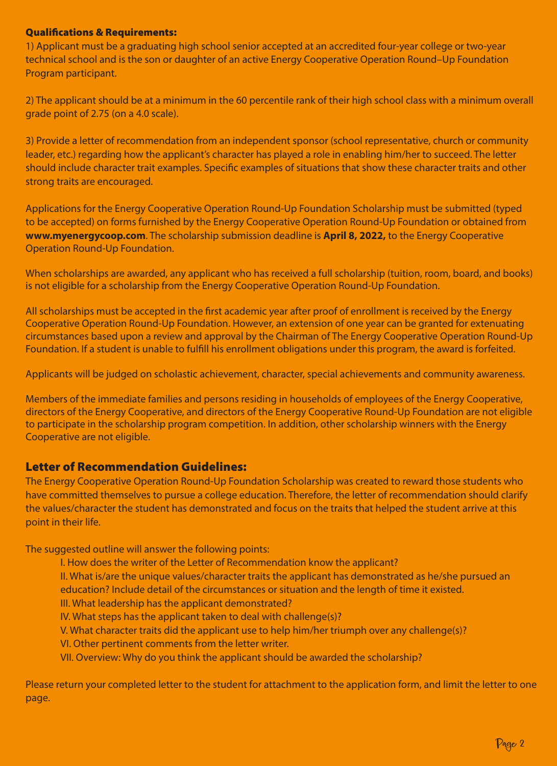#### Qualifications & Requirements:

1) Applicant must be a graduating high school senior accepted at an accredited four-year college or two-year technical school and is the son or daughter of an active Energy Cooperative Operation Round–Up Foundation Program participant.

2) The applicant should be at a minimum in the 60 percentile rank of their high school class with a minimum overall grade point of 2.75 (on a 4.0 scale).

3) Provide a letter of recommendation from an independent sponsor (school representative, church or community leader, etc.) regarding how the applicant's character has played a role in enabling him/her to succeed. The letter should include character trait examples. Specific examples of situations that show these character traits and other strong traits are encouraged.

Applications for the Energy Cooperative Operation Round-Up Foundation Scholarship must be submitted (typed to be accepted) on forms furnished by the Energy Cooperative Operation Round-Up Foundation or obtained from www.myenergycoop.com. The scholarship submission deadline is April 8, 2022, to the Energy Cooperative Operation Round-Up Foundation.

When scholarships are awarded, any applicant who has received a full scholarship (tuition, room, board, and books) is not eligible for a scholarship from the Energy Cooperative Operation Round-Up Foundation.

All scholarships must be accepted in the first academic year after proof of enrollment is received by the Energy Cooperative Operation Round-Up Foundation. However, an extension of one year can be granted for extenuating circumstances based upon a review and approval by the Chairman of The Energy Cooperative Operation Round-Up Foundation. If a student is unable to fulfill his enrollment obligations under this program, the award is forfeited.

Applicants will be judged on scholastic achievement, character, special achievements and community awareness.

Members of the immediate families and persons residing in households of employees of the Energy Cooperative, directors of the Energy Cooperative, and directors of the Energy Cooperative Round-Up Foundation are not eligible to participate in the scholarship program competition. In addition, other scholarship winners with the Energy Cooperative are not eligible.

### Letter of Recommendation Guidelines:

The Energy Cooperative Operation Round-Up Foundation Scholarship was created to reward those students who have committed themselves to pursue a college education. Therefore, the letter of recommendation should clarify the values/character the student has demonstrated and focus on the traits that helped the student arrive at this point in their life.

The suggested outline will answer the following points:

- I. How does the writer of the Letter of Recommendation know the applicant?
- II. What is/are the unique values/character traits the applicant has demonstrated as he/she pursued an education? Include detail of the circumstances or situation and the length of time it existed.
- III. What leadership has the applicant demonstrated?
- IV. What steps has the applicant taken to deal with challenge(s)?
- V. What character traits did the applicant use to help him/her triumph over any challenge(s)?
- VI. Other pertinent comments from the letter writer.
- VII. Overview: Why do you think the applicant should be awarded the scholarship?

Please return your completed letter to the student for attachment to the application form, and limit the letter to one page.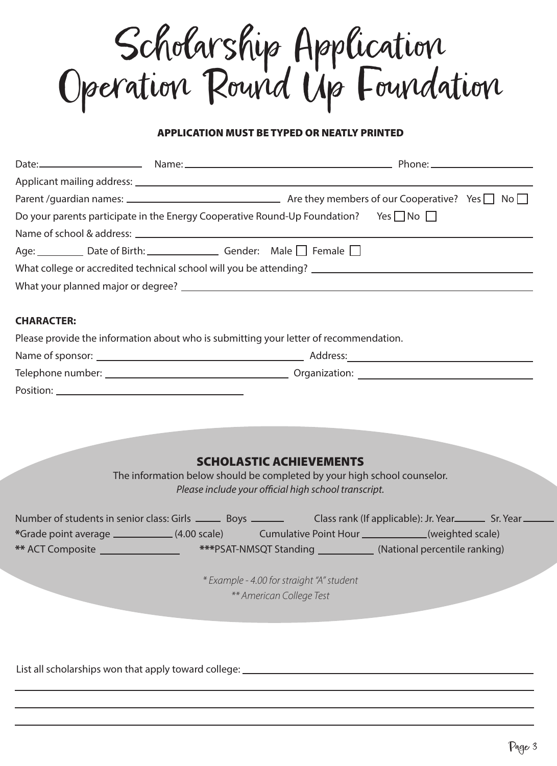Scholarship Application Operation Round Up Foundation

#### PLICATION MUST BE TYPED OR NEATLY PRINTED

| Do your parents participate in the Energy Cooperative Round-Up Foundation? Yes $\Box$ No $\Box$ |                                                                          |                                                                                                                                                                                                                                                 |
|-------------------------------------------------------------------------------------------------|--------------------------------------------------------------------------|-------------------------------------------------------------------------------------------------------------------------------------------------------------------------------------------------------------------------------------------------|
|                                                                                                 |                                                                          |                                                                                                                                                                                                                                                 |
| Age: Date of Birth: Gender: Male Female D                                                       |                                                                          |                                                                                                                                                                                                                                                 |
|                                                                                                 |                                                                          |                                                                                                                                                                                                                                                 |
|                                                                                                 |                                                                          |                                                                                                                                                                                                                                                 |
|                                                                                                 |                                                                          |                                                                                                                                                                                                                                                 |
| <b>CHARACTER:</b>                                                                               |                                                                          |                                                                                                                                                                                                                                                 |
| Please provide the information about who is submitting your letter of recommendation.           |                                                                          |                                                                                                                                                                                                                                                 |
|                                                                                                 |                                                                          |                                                                                                                                                                                                                                                 |
|                                                                                                 |                                                                          |                                                                                                                                                                                                                                                 |
|                                                                                                 |                                                                          |                                                                                                                                                                                                                                                 |
|                                                                                                 |                                                                          |                                                                                                                                                                                                                                                 |
|                                                                                                 |                                                                          |                                                                                                                                                                                                                                                 |
|                                                                                                 |                                                                          |                                                                                                                                                                                                                                                 |
|                                                                                                 | <b>SCHOLASTIC ACHIEVEMENTS</b>                                           |                                                                                                                                                                                                                                                 |
|                                                                                                 | The information below should be completed by your high school counselor. |                                                                                                                                                                                                                                                 |
|                                                                                                 | Please include your official high school transcript.                     |                                                                                                                                                                                                                                                 |
|                                                                                                 |                                                                          |                                                                                                                                                                                                                                                 |
|                                                                                                 |                                                                          | Number of students in senior class: Girls _________ Boys ________________________ Class rank (If applicable): Jr. Year___________ Sr. Year<br>*Grade point average ______________(4.00 scale) Cumulative Point Hour ___________(weighted scale) |
|                                                                                                 |                                                                          | ** ACT Composite _____________________ ***PSAT-NMSQT Standing _____________(National percentile ranking)                                                                                                                                        |
|                                                                                                 |                                                                          |                                                                                                                                                                                                                                                 |
|                                                                                                 | * Example - 4.00 for straight "A" student                                |                                                                                                                                                                                                                                                 |
|                                                                                                 | ** American College Test                                                 |                                                                                                                                                                                                                                                 |
|                                                                                                 |                                                                          |                                                                                                                                                                                                                                                 |
|                                                                                                 |                                                                          |                                                                                                                                                                                                                                                 |
|                                                                                                 |                                                                          |                                                                                                                                                                                                                                                 |
| List all scholarships won that apply toward college: ___________________________                |                                                                          |                                                                                                                                                                                                                                                 |
|                                                                                                 |                                                                          |                                                                                                                                                                                                                                                 |